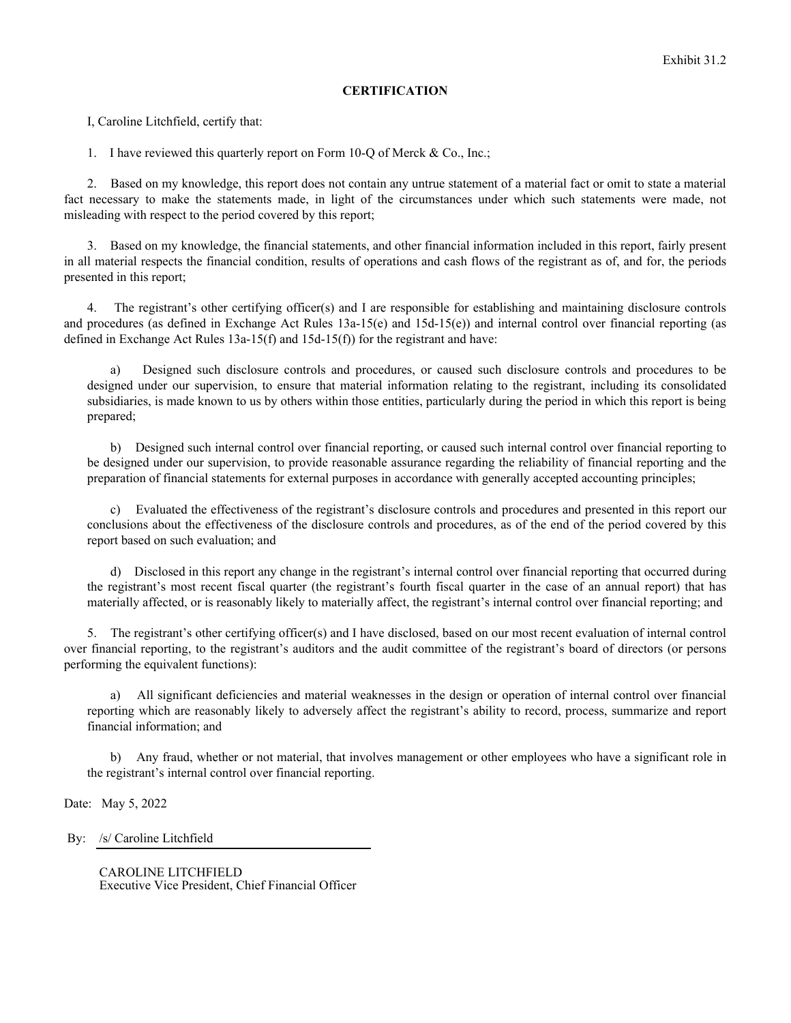## **CERTIFICATION**

I, Caroline Litchfield, certify that:

1. I have reviewed this quarterly report on Form 10-Q of Merck & Co., Inc.;

2. Based on my knowledge, this report does not contain any untrue statement of a material fact or omit to state a material fact necessary to make the statements made, in light of the circumstances under which such statements were made, not misleading with respect to the period covered by this report;

3. Based on my knowledge, the financial statements, and other financial information included in this report, fairly present in all material respects the financial condition, results of operations and cash flows of the registrant as of, and for, the periods presented in this report;

4. The registrant's other certifying officer(s) and I are responsible for establishing and maintaining disclosure controls and procedures (as defined in Exchange Act Rules  $13a-15(e)$  and  $15d-15(e)$ ) and internal control over financial reporting (as defined in Exchange Act Rules 13a-15(f) and 15d-15(f)) for the registrant and have:

a) Designed such disclosure controls and procedures, or caused such disclosure controls and procedures to be designed under our supervision, to ensure that material information relating to the registrant, including its consolidated subsidiaries, is made known to us by others within those entities, particularly during the period in which this report is being prepared;

b) Designed such internal control over financial reporting, or caused such internal control over financial reporting to be designed under our supervision, to provide reasonable assurance regarding the reliability of financial reporting and the preparation of financial statements for external purposes in accordance with generally accepted accounting principles;

c) Evaluated the effectiveness of the registrant's disclosure controls and procedures and presented in this report our conclusions about the effectiveness of the disclosure controls and procedures, as of the end of the period covered by this report based on such evaluation; and

d) Disclosed in this report any change in the registrant's internal control over financial reporting that occurred during the registrant's most recent fiscal quarter (the registrant's fourth fiscal quarter in the case of an annual report) that has materially affected, or is reasonably likely to materially affect, the registrant's internal control over financial reporting; and

5. The registrant's other certifying officer(s) and I have disclosed, based on our most recent evaluation of internal control over financial reporting, to the registrant's auditors and the audit committee of the registrant's board of directors (or persons performing the equivalent functions):

a) All significant deficiencies and material weaknesses in the design or operation of internal control over financial reporting which are reasonably likely to adversely affect the registrant's ability to record, process, summarize and report financial information; and

b) Any fraud, whether or not material, that involves management or other employees who have a significant role in the registrant's internal control over financial reporting.

Date: May 5, 2022

By: /s/ Caroline Litchfield

CAROLINE LITCHFIELD Executive Vice President, Chief Financial Officer